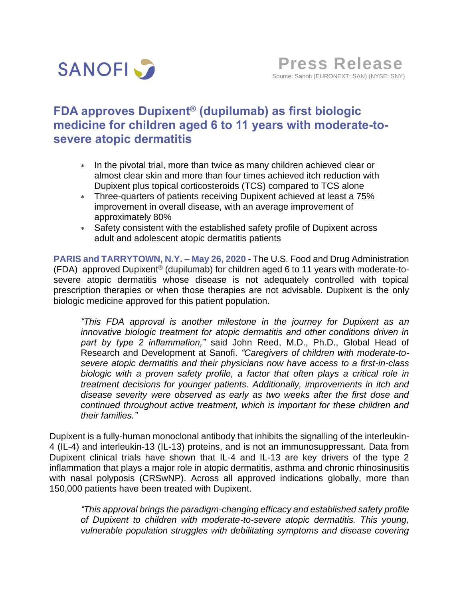

# **FDA approves Dupixent® (dupilumab) as first biologic medicine for children aged 6 to 11 years with moderate-tosevere atopic dermatitis**

- \* In the pivotal trial, more than twice as many children achieved clear or almost clear skin and more than four times achieved itch reduction with Dupixent plus topical corticosteroids (TCS) compared to TCS alone
- Three-quarters of patients receiving Dupixent achieved at least a 75% improvement in overall disease, with an average improvement of approximately 80%
- Safety consistent with the established safety profile of Dupixent across adult and adolescent atopic dermatitis patients

**PARIS and TARRYTOWN, N.Y. – May 26, 2020** - The U.S. Food and Drug Administration (FDA) approved Dupixent® (dupilumab) for children aged 6 to 11 years with moderate-tosevere atopic dermatitis whose disease is not adequately controlled with topical prescription therapies or when those therapies are not advisable. Dupixent is the only biologic medicine approved for this patient population.

*"This FDA approval is another milestone in the journey for Dupixent as an innovative biologic treatment for atopic dermatitis and other conditions driven in part by type 2 inflammation,"* said John Reed, M.D., Ph.D., Global Head of Research and Development at Sanofi. *"Caregivers of children with moderate-tosevere atopic dermatitis and their physicians now have access to a first-in-class biologic with a proven safety profile, a factor that often plays a critical role in treatment decisions for younger patients. Additionally, improvements in itch and disease severity were observed as early as two weeks after the first dose and continued throughout active treatment, which is important for these children and their families."*

Dupixent is a fully-human monoclonal antibody that inhibits the signalling of the interleukin-4 (IL-4) and interleukin-13 (IL-13) proteins, and is not an immunosuppressant. Data from Dupixent clinical trials have shown that IL-4 and IL-13 are key drivers of the type 2 inflammation that plays a major role in atopic dermatitis, asthma and chronic rhinosinusitis with nasal polyposis (CRSwNP). Across all approved indications globally, more than 150,000 patients have been treated with Dupixent.

*"This approval brings the paradigm-changing efficacy and established safety profile of Dupixent to children with moderate-to-severe atopic dermatitis. This young, vulnerable population struggles with debilitating symptoms and disease covering*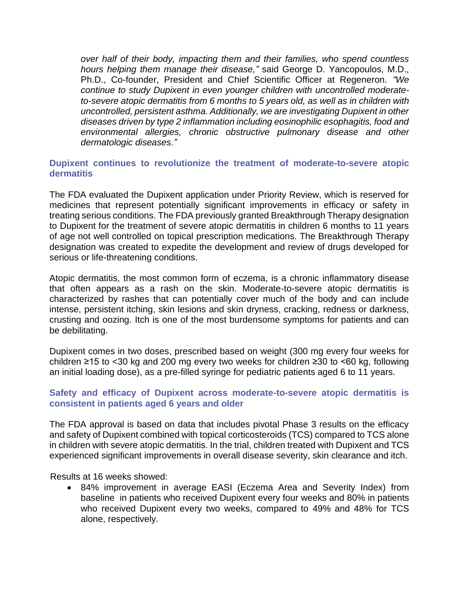*over half of their body, impacting them and their families, who spend countless hours helping them manage their disease,"* said George D. Yancopoulos, M.D., Ph.D., Co-founder, President and Chief Scientific Officer at Regeneron. *"We continue to study Dupixent in even younger children with uncontrolled moderateto-severe atopic dermatitis from 6 months to 5 years old, as well as in children with uncontrolled, persistent asthma. Additionally, we are investigating Dupixent in other diseases driven by type 2 inflammation including eosinophilic esophagitis, food and environmental allergies, chronic obstructive pulmonary disease and other dermatologic diseases."*

#### **Dupixent continues to revolutionize the treatment of moderate-to-severe atopic dermatitis**

The FDA evaluated the Dupixent application under Priority Review, which is reserved for medicines that represent potentially significant improvements in efficacy or safety in treating serious conditions. The FDA previously granted Breakthrough Therapy designation to Dupixent for the treatment of severe atopic dermatitis in children 6 months to 11 years of age not well controlled on topical prescription medications. The Breakthrough Therapy designation was created to expedite the development and review of drugs developed for serious or life-threatening conditions.

Atopic dermatitis, the most common form of eczema, is a chronic inflammatory disease that often appears as a rash on the skin. Moderate-to-severe atopic dermatitis is characterized by rashes that can potentially cover much of the body and can include intense, persistent itching, skin lesions and skin dryness, cracking, redness or darkness, crusting and oozing. Itch is one of the most burdensome symptoms for patients and can be debilitating.

Dupixent comes in two doses, prescribed based on weight (300 mg every four weeks for children ≥15 to <30 kg and 200 mg every two weeks for children ≥30 to <60 kg, following an initial loading dose), as a pre-filled syringe for pediatric patients aged 6 to 11 years.

## **Safety and efficacy of Dupixent across moderate-to-severe atopic dermatitis is consistent in patients aged 6 years and older**

The FDA approval is based on data that includes pivotal Phase 3 results on the efficacy and safety of Dupixent combined with topical corticosteroids (TCS) compared to TCS alone in children with severe atopic dermatitis. In the trial, children treated with Dupixent and TCS experienced significant improvements in overall disease severity, skin clearance and itch.

Results at 16 weeks showed:

• 84% improvement in average EASI (Eczema Area and Severity Index) from baseline in patients who received Dupixent every four weeks and 80% in patients who received Dupixent every two weeks, compared to 49% and 48% for TCS alone, respectively.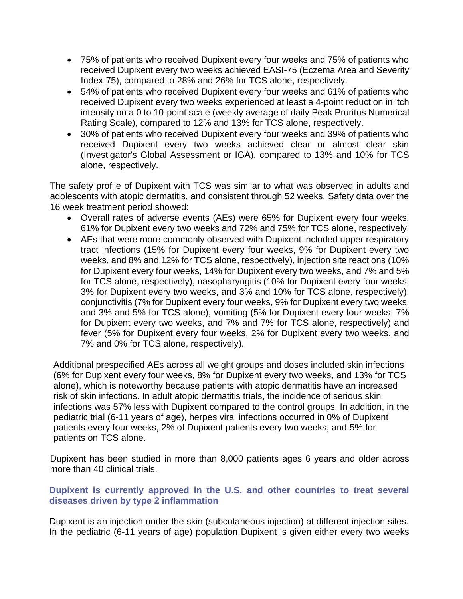- 75% of patients who received Dupixent every four weeks and 75% of patients who received Dupixent every two weeks achieved EASI-75 (Eczema Area and Severity Index-75), compared to 28% and 26% for TCS alone, respectively.
- 54% of patients who received Dupixent every four weeks and 61% of patients who received Dupixent every two weeks experienced at least a 4-point reduction in itch intensity on a 0 to 10-point scale (weekly average of daily Peak Pruritus Numerical Rating Scale), compared to 12% and 13% for TCS alone, respectively.
- 30% of patients who received Dupixent every four weeks and 39% of patients who received Dupixent every two weeks achieved clear or almost clear skin (Investigator's Global Assessment or IGA), compared to 13% and 10% for TCS alone, respectively.

The safety profile of Dupixent with TCS was similar to what was observed in adults and adolescents with atopic dermatitis, and consistent through 52 weeks. Safety data over the 16 week treatment period showed:

- Overall rates of adverse events (AEs) were 65% for Dupixent every four weeks, 61% for Dupixent every two weeks and 72% and 75% for TCS alone, respectively.
- AEs that were more commonly observed with Dupixent included upper respiratory tract infections (15% for Dupixent every four weeks, 9% for Dupixent every two weeks, and 8% and 12% for TCS alone, respectively), injection site reactions (10% for Dupixent every four weeks, 14% for Dupixent every two weeks, and 7% and 5% for TCS alone, respectively), nasopharyngitis (10% for Dupixent every four weeks, 3% for Dupixent every two weeks, and 3% and 10% for TCS alone, respectively), conjunctivitis (7% for Dupixent every four weeks, 9% for Dupixent every two weeks, and 3% and 5% for TCS alone), vomiting (5% for Dupixent every four weeks, 7% for Dupixent every two weeks, and 7% and 7% for TCS alone, respectively) and fever (5% for Dupixent every four weeks, 2% for Dupixent every two weeks, and 7% and 0% for TCS alone, respectively).

Additional prespecified AEs across all weight groups and doses included skin infections (6% for Dupixent every four weeks, 8% for Dupixent every two weeks, and 13% for TCS alone), which is noteworthy because patients with atopic dermatitis have an increased risk of skin infections. In adult atopic dermatitis trials, the incidence of serious skin infections was 57% less with Dupixent compared to the control groups. In addition, in the pediatric trial (6-11 years of age), herpes viral infections occurred in 0% of Dupixent patients every four weeks, 2% of Dupixent patients every two weeks, and 5% for patients on TCS alone.

Dupixent has been studied in more than 8,000 patients ages 6 years and older across more than 40 clinical trials.

## **Dupixent is currently approved in the U.S. and other countries to treat several diseases driven by type 2 inflammation**

Dupixent is an injection under the skin (subcutaneous injection) at different injection sites. In the pediatric (6-11 years of age) population Dupixent is given either every two weeks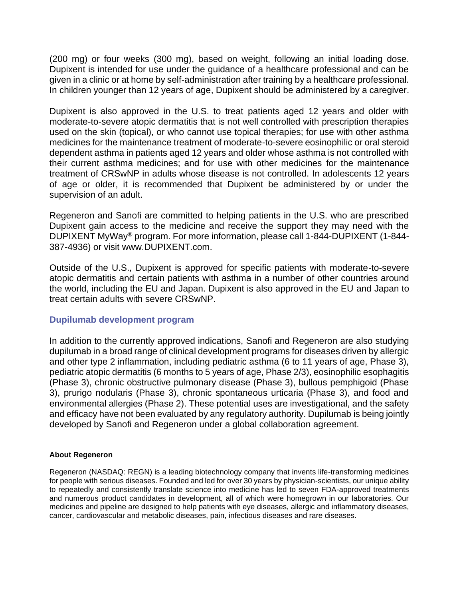(200 mg) or four weeks (300 mg), based on weight, following an initial loading dose. Dupixent is intended for use under the guidance of a healthcare professional and can be given in a clinic or at home by self-administration after training by a healthcare professional. In children younger than 12 years of age, Dupixent should be administered by a caregiver.

Dupixent is also approved in the U.S. to treat patients aged 12 years and older with moderate-to-severe atopic dermatitis that is not well controlled with prescription therapies used on the skin (topical), or who cannot use topical therapies; for use with other asthma medicines for the maintenance treatment of moderate-to-severe eosinophilic or oral steroid dependent asthma in patients aged 12 years and older whose asthma is not controlled with their current asthma medicines; and for use with other medicines for the maintenance treatment of CRSwNP in adults whose disease is not controlled. In adolescents 12 years of age or older, it is recommended that Dupixent be administered by or under the supervision of an adult.

Regeneron and Sanofi are committed to helping patients in the U.S. who are prescribed Dupixent gain access to the medicine and receive the support they may need with the DUPIXENT MyWay® program. For more information, please call 1-844-DUPIXENT (1-844- 387-4936) or visit www.DUPIXENT.com.

Outside of the U.S., Dupixent is approved for specific patients with moderate-to-severe atopic dermatitis and certain patients with asthma in a number of other countries around the world, including the EU and Japan. Dupixent is also approved in the EU and Japan to treat certain adults with severe CRSwNP.

## **Dupilumab development program**

In addition to the currently approved indications, Sanofi and Regeneron are also studying dupilumab in a broad range of clinical development programs for diseases driven by allergic and other type 2 inflammation, including pediatric asthma (6 to 11 years of age, Phase 3), pediatric atopic dermatitis (6 months to 5 years of age, Phase 2/3), eosinophilic esophagitis (Phase 3), chronic obstructive pulmonary disease (Phase 3), bullous pemphigoid (Phase 3), prurigo nodularis (Phase 3), chronic spontaneous urticaria (Phase 3), and food and environmental allergies (Phase 2). These potential uses are investigational, and the safety and efficacy have not been evaluated by any regulatory authority. Dupilumab is being jointly developed by Sanofi and Regeneron under a global collaboration agreement.

#### **About Regeneron**

Regeneron (NASDAQ: REGN) is a leading biotechnology company that invents life-transforming medicines for people with serious diseases. Founded and led for over 30 years by physician-scientists, our unique ability to repeatedly and consistently translate science into medicine has led to seven FDA-approved treatments and numerous product candidates in development, all of which were homegrown in our laboratories. Our medicines and pipeline are designed to help patients with eye diseases, allergic and inflammatory diseases, cancer, cardiovascular and metabolic diseases, pain, infectious diseases and rare diseases.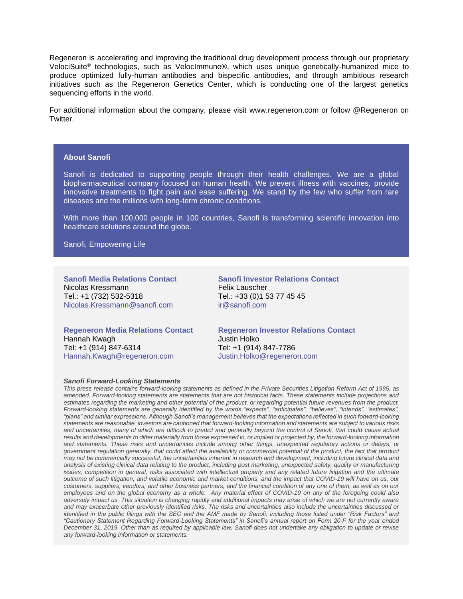Regeneron is accelerating and improving the traditional drug development process through our proprietary VelociSuite® technologies, such as VelocImmune®, which uses unique genetically-humanized mice to produce optimized fully-human antibodies and bispecific antibodies, and through ambitious research initiatives such as the Regeneron Genetics Center, which is conducting one of the largest genetics sequencing efforts in the world.

For additional information about the company, please visit www.regeneron.com or follow @Regeneron on **Twitter** 

#### **About Sanofi**

Sanofi is dedicated to supporting people through their health challenges. We are a global biopharmaceutical company focused on human health. We prevent illness with vaccines, provide innovative treatments to fight pain and ease suffering. We stand by the few who suffer from rare diseases and the millions with long-term chronic conditions.

With more than 100,000 people in 100 countries, Sanofi is transforming scientific innovation into healthcare solutions around the globe.

Sanofi, Empowering Life

**Sanofi Media Relations Contact** Nicolas Kressmann Tel.: +1 (732) 532-5318 Nicolas.Kressmann@sanofi.com

**Sanofi Investor Relations Contact** Felix Lauscher Tel.: +33 (0)1 53 77 45 45 [ir@sanofi.com](mailto:ir@sanofi.com)

**Regeneron Media Relations Contact** Hannah Kwagh Tel: +1 (914) 847-6314 [Hannah.Kwagh@regeneron.com](mailto:Hannah.Kwagh@regeneron.com)

*Sanofi Forward-Looking Statements*

**Regeneron Investor Relations Contact** Justin Holko Tel: +1 (914) 847-7786 [Justin.Holko@regeneron.com](mailto:Justin.Holko@regeneron.com)

*This press release contains forward-looking statements as defined in the Private Securities Litigation Reform Act of 1995, as amended. Forward-looking statements are statements that are not historical facts. These statements include projections and estimates regarding the marketing and other potential of the product, or regarding potential future revenues from the product. Forward-looking statements are generally identified by the words "expects", "anticipates", "believes", "intends", "estimates", "plans" and similar expressions. Although Sanofi's management believes that the expectations reflected in such forward-looking statements are reasonable, investors are cautioned that forward-looking information and statements are subject to various risks and uncertainties, many of which are difficult to predict and generally beyond the control of Sanofi, that could cause actual results and developments to differ materially from those expressed in, or implied or projected by, the forward-looking information and statements. These risks and uncertainties include among other things, unexpected regulatory actions or delays, or government regulation generally, that could affect the availability or commercial potential of the product, the fact that product may not be commercially successful, the uncertainties inherent in research and development, including future clinical data and analysis of existing clinical data relating to the product, including post marketing, unexpected safety, quality or manufacturing issues, competition in general, risks associated with intellectual property and any related future litigation and the ultimate outcome of such litigation, and volatile economic and market conditions, and the impact that COVID-19 will have on us, our customers, suppliers, vendors, and other business partners, and the financial condition of any one of them, as well as on our employees and on the global economy as a whole. Any material effect of COVID-19 on any of the foregoing could also adversely impact us. This situation is changing rapidly and additional impacts may arise of which we are not currently aware and may exacerbate other previously identified risks. The risks and uncertainties also include the uncertainties discussed or identified in the public filings with the SEC and the AMF made by Sanofi, including those listed under "Risk Factors" and "Cautionary Statement Regarding Forward-Looking Statements" in Sanofi's annual report on Form 20-F for the year ended December 31, 2019. Other than as required by applicable law, Sanofi does not undertake any obligation to update or revise any forward-looking information or statements.*